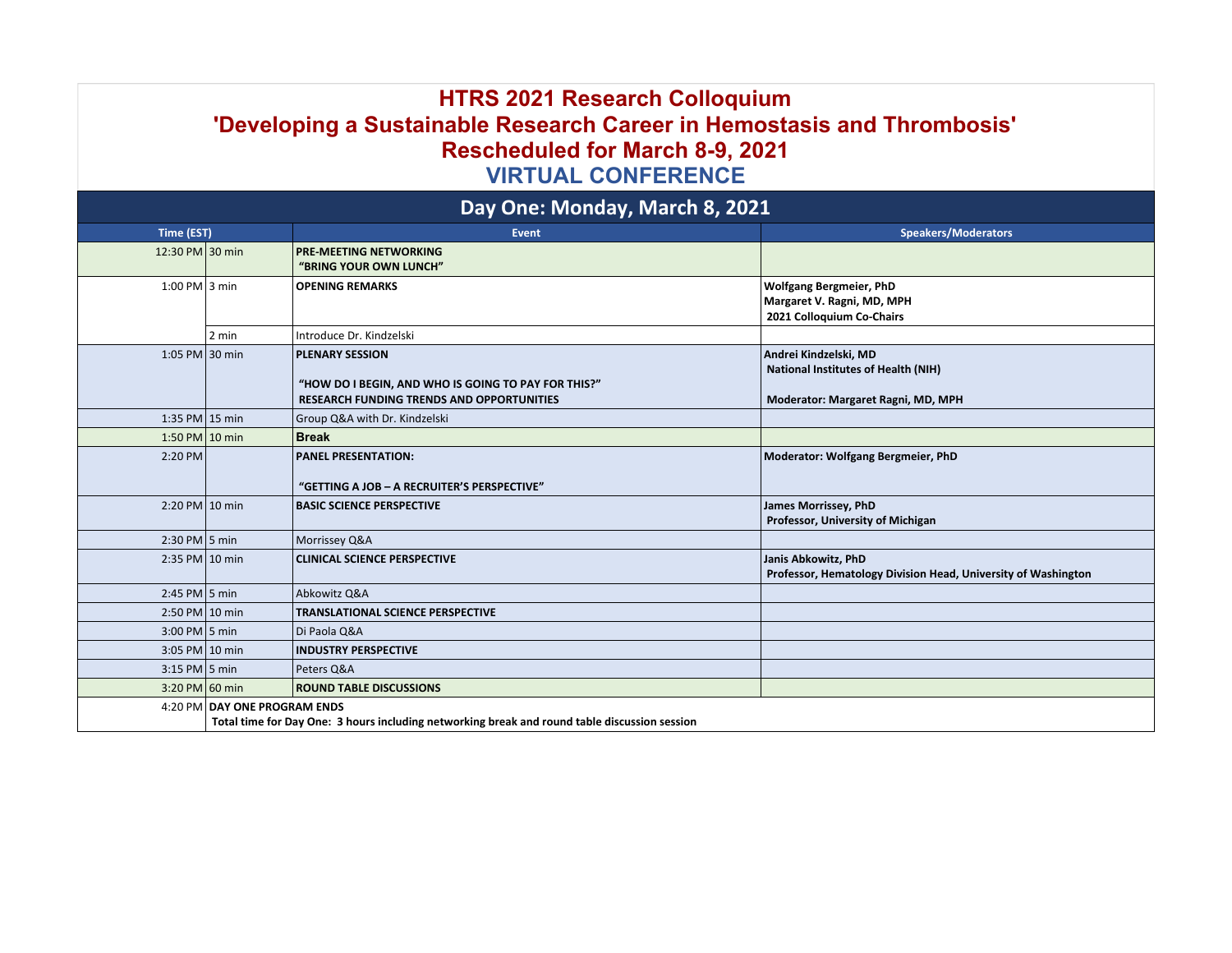## **HTRS 2021 Research Colloquium 'Developing a Sustainable Research Career in Hemostasis and Thrombosis' Rescheduled for March 8-9, 2021 VIRTUAL CONFERENCE**

| Day One: Monday, March 8, 2021 |                                                                                                                               |                                                                                                                                   |                                                                                                           |  |  |
|--------------------------------|-------------------------------------------------------------------------------------------------------------------------------|-----------------------------------------------------------------------------------------------------------------------------------|-----------------------------------------------------------------------------------------------------------|--|--|
| Time (EST)                     |                                                                                                                               | <b>Event</b>                                                                                                                      | <b>Speakers/Moderators</b>                                                                                |  |  |
| 12:30 PM 30 min                |                                                                                                                               | <b>PRE-MEETING NETWORKING</b><br>"BRING YOUR OWN LUNCH"                                                                           |                                                                                                           |  |  |
| 1:00 PM $ 3 \text{ min}$       |                                                                                                                               | <b>OPENING REMARKS</b>                                                                                                            | <b>Wolfgang Bergmeier, PhD</b><br>Margaret V. Ragni, MD, MPH<br>2021 Colloquium Co-Chairs                 |  |  |
|                                | 2 min                                                                                                                         | Introduce Dr. Kindzelski                                                                                                          |                                                                                                           |  |  |
| 1:05 PM 30 min                 |                                                                                                                               | <b>PLENARY SESSION</b><br>"HOW DO I BEGIN, AND WHO IS GOING TO PAY FOR THIS?"<br><b>RESEARCH FUNDING TRENDS AND OPPORTUNITIES</b> | Andrei Kindzelski, MD<br><b>National Institutes of Health (NIH)</b><br>Moderator: Margaret Ragni, MD, MPH |  |  |
| 1:35 PM 15 min                 |                                                                                                                               | Group Q&A with Dr. Kindzelski                                                                                                     |                                                                                                           |  |  |
| 1:50 PM $\vert$ 10 min         |                                                                                                                               | <b>Break</b>                                                                                                                      |                                                                                                           |  |  |
| 2:20 PM                        |                                                                                                                               | <b>PANEL PRESENTATION:</b><br>"GETTING A JOB - A RECRUITER'S PERSPECTIVE"                                                         | Moderator: Wolfgang Bergmeier, PhD                                                                        |  |  |
| $2:20$ PM $10$ min             |                                                                                                                               | <b>BASIC SCIENCE PERSPECTIVE</b>                                                                                                  | James Morrissey, PhD<br>Professor, University of Michigan                                                 |  |  |
| $2:30$ PM $\vert$ 5 min        |                                                                                                                               | Morrissey Q&A                                                                                                                     |                                                                                                           |  |  |
| $2:35$ PM $10$ min             |                                                                                                                               | <b>CLINICAL SCIENCE PERSPECTIVE</b>                                                                                               | Janis Abkowitz, PhD<br>Professor, Hematology Division Head, University of Washington                      |  |  |
| 2:45 PM $\vert$ 5 min          |                                                                                                                               | Abkowitz Q&A                                                                                                                      |                                                                                                           |  |  |
| $2:50$ PM $10$ min             |                                                                                                                               | <b>TRANSLATIONAL SCIENCE PERSPECTIVE</b>                                                                                          |                                                                                                           |  |  |
| $3:00$ PM $\vert$ 5 min        |                                                                                                                               | Di Paola Q&A                                                                                                                      |                                                                                                           |  |  |
| 3:05 PM 10 min                 |                                                                                                                               | <b>INDUSTRY PERSPECTIVE</b>                                                                                                       |                                                                                                           |  |  |
| 3:15 PM $\vert$ 5 min          |                                                                                                                               | Peters Q&A                                                                                                                        |                                                                                                           |  |  |
| 3:20 PM 60 min                 |                                                                                                                               | <b>ROUND TABLE DISCUSSIONS</b>                                                                                                    |                                                                                                           |  |  |
|                                | 4:20 PM DAY ONE PROGRAM ENDS<br>Total time for Day One: 3 hours including networking break and round table discussion session |                                                                                                                                   |                                                                                                           |  |  |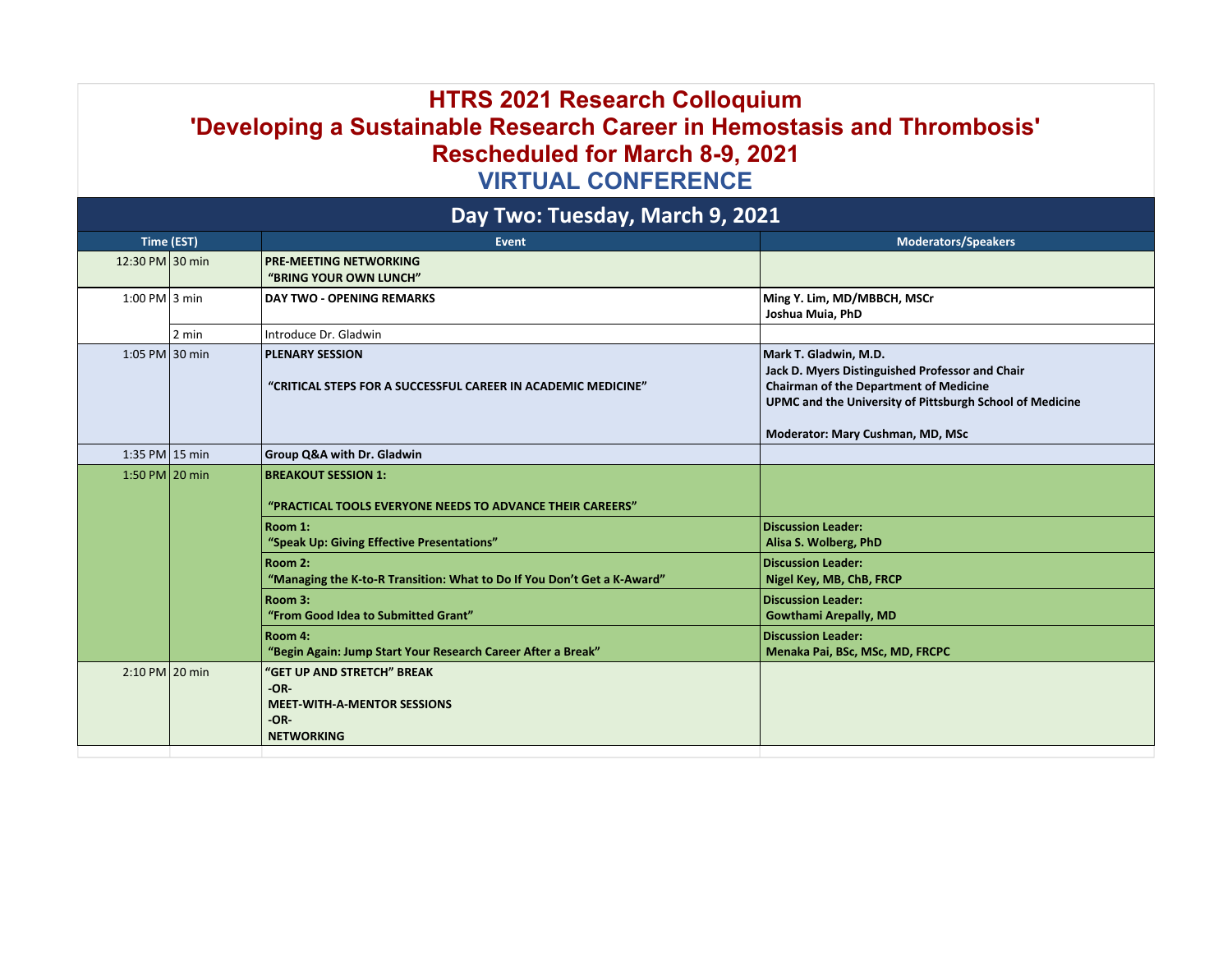## **HTRS 2021 Research Colloquium 'Developing a Sustainable Research Career in Hemostasis and Thrombosis' Rescheduled for March 8-9, 2021 VIRTUAL CONFERENCE**

| Day Two: Tuesday, March 9, 2021 |       |                                                                                                                  |                                                                                                                                                                                                                           |  |  |
|---------------------------------|-------|------------------------------------------------------------------------------------------------------------------|---------------------------------------------------------------------------------------------------------------------------------------------------------------------------------------------------------------------------|--|--|
| Time (EST)                      |       | <b>Event</b>                                                                                                     | <b>Moderators/Speakers</b>                                                                                                                                                                                                |  |  |
| 12:30 PM 30 min                 |       | <b>PRE-MEETING NETWORKING</b><br>"BRING YOUR OWN LUNCH"                                                          |                                                                                                                                                                                                                           |  |  |
| $1:00$ PM 3 min                 |       | <b>DAY TWO - OPENING REMARKS</b>                                                                                 | Ming Y. Lim, MD/MBBCH, MSCr<br>Joshua Muia, PhD                                                                                                                                                                           |  |  |
|                                 | 2 min | Introduce Dr. Gladwin                                                                                            |                                                                                                                                                                                                                           |  |  |
| 1:05 PM 30 min                  |       | <b>PLENARY SESSION</b><br>"CRITICAL STEPS FOR A SUCCESSFUL CAREER IN ACADEMIC MEDICINE"                          | Mark T. Gladwin, M.D.<br>Jack D. Myers Distinguished Professor and Chair<br><b>Chairman of the Department of Medicine</b><br>UPMC and the University of Pittsburgh School of Medicine<br>Moderator: Mary Cushman, MD, MSc |  |  |
| 1:35 PM 15 min                  |       | Group Q&A with Dr. Gladwin                                                                                       |                                                                                                                                                                                                                           |  |  |
| 1:50 PM 20 min                  |       | <b>BREAKOUT SESSION 1:</b><br>"PRACTICAL TOOLS EVERYONE NEEDS TO ADVANCE THEIR CAREERS"                          |                                                                                                                                                                                                                           |  |  |
|                                 |       | Room 1:<br>"Speak Up: Giving Effective Presentations"                                                            | <b>Discussion Leader:</b><br>Alisa S. Wolberg, PhD                                                                                                                                                                        |  |  |
|                                 |       | Room 2:<br>"Managing the K-to-R Transition: What to Do If You Don't Get a K-Award"                               | <b>Discussion Leader:</b><br>Nigel Key, MB, ChB, FRCP                                                                                                                                                                     |  |  |
|                                 |       | Room 3:<br>"From Good Idea to Submitted Grant"                                                                   | <b>Discussion Leader:</b><br><b>Gowthami Arepally, MD</b>                                                                                                                                                                 |  |  |
|                                 |       | Room 4:<br>"Begin Again: Jump Start Your Research Career After a Break"                                          | <b>Discussion Leader:</b><br>Menaka Pai, BSc, MSc, MD, FRCPC                                                                                                                                                              |  |  |
| $2:10$ PM 20 min                |       | <b>"GET UP AND STRETCH" BREAK</b><br>$-OR-$<br><b>MEET-WITH-A-MENTOR SESSIONS</b><br>$-OR-$<br><b>NETWORKING</b> |                                                                                                                                                                                                                           |  |  |